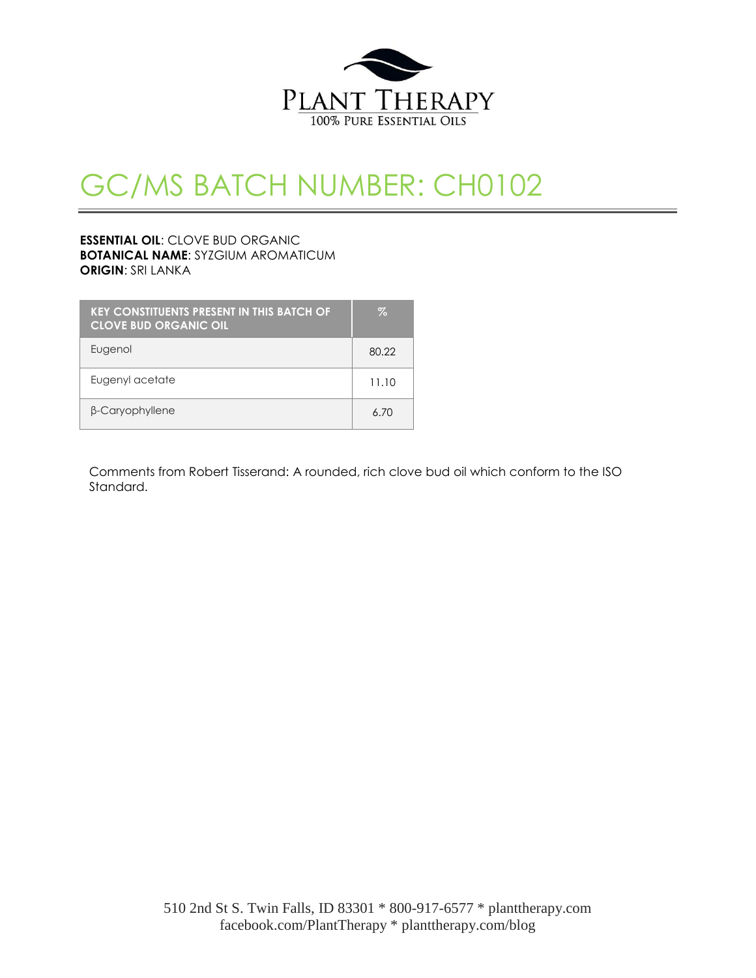

## GC/MS BATCH NUMBER: CH0102

## **ESSENTIAL OIL**: CLOVE BUD ORGANIC **BOTANICAL NAME**: SYZGIUM AROMATICUM **ORIGIN**: SRI LANKA

| <b>KEY CONSTITUENTS PRESENT IN THIS BATCH OF</b><br><b>CLOVE BUD ORGANIC OIL</b> | $\%$  |
|----------------------------------------------------------------------------------|-------|
| Eugenol                                                                          | 80.22 |
| Eugenyl acetate                                                                  | 11.10 |
| β-Caryophyllene                                                                  | 6. 70 |

Comments from Robert Tisserand: A rounded, rich clove bud oil which conform to the ISO Standard.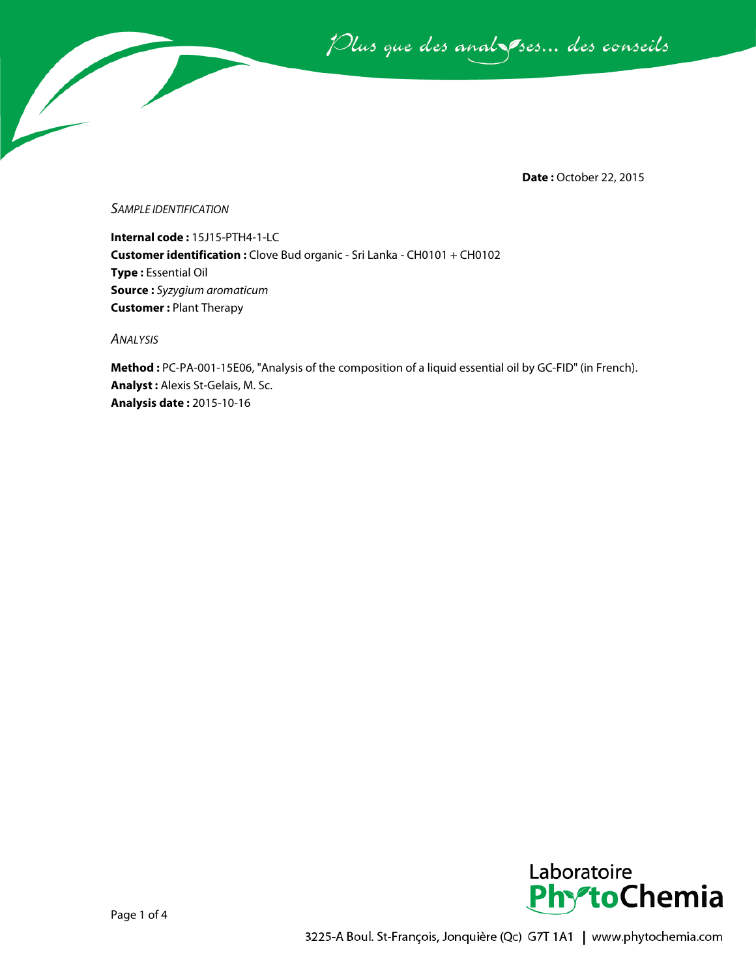Plus que des analzessus des conseils

**Date :** October 22, 2015

*SAMPLE IDENTIFICATION*

**Internal code :** 15J15-PTH4-1-LC **Customer identification :** Clove Bud organic - Sri Lanka - CH0101 + CH0102 **Type :** Essential Oil **Source :** *Syzygium aromaticum* **Customer :** Plant Therapy

*ANALYSIS*

**Method :** PC-PA-001-15E06, "Analysis of the composition of a liquid essential oil by GC-FID" (in French). **Analyst :** Alexis St-Gelais, M. Sc. **Analysis date :** 2015-10-16

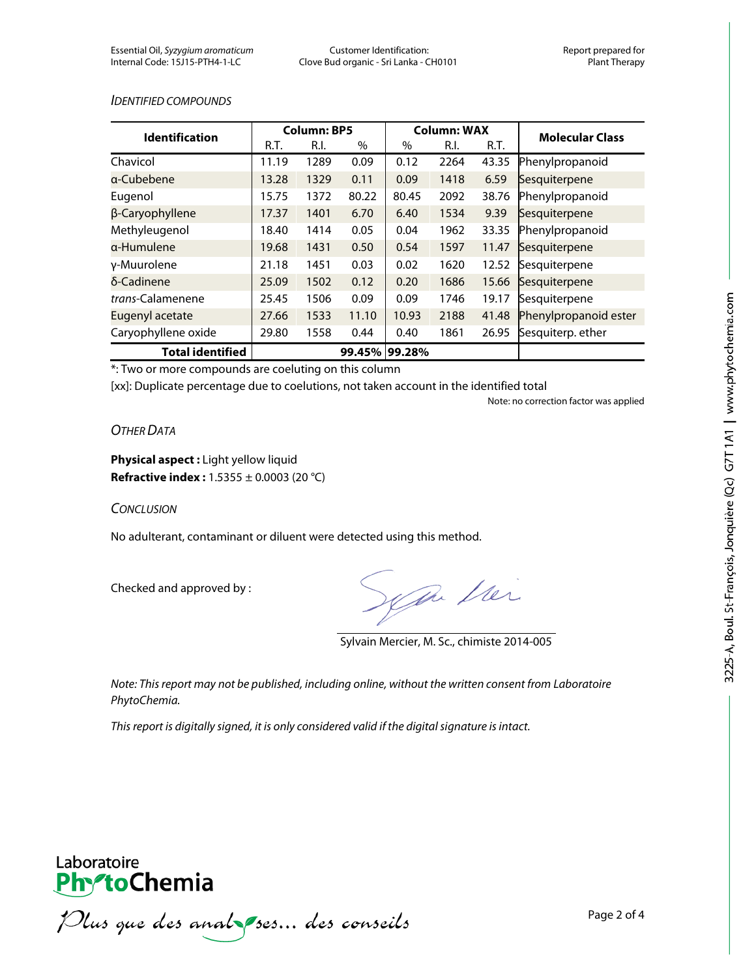## *IDENTIFIED COMPOUNDS*

| <b>Identification</b>   | <b>Column: BP5</b> |      |        | <b>Column: WAX</b> |      |       | <b>Molecular Class</b> |
|-------------------------|--------------------|------|--------|--------------------|------|-------|------------------------|
|                         | R.T.               | R.I. | %      | %                  | R.I. | R.T.  |                        |
| Chavicol                | 11.19              | 1289 | 0.09   | 0.12               | 2264 | 43.35 | Phenylpropanoid        |
| a-Cubebene              | 13.28              | 1329 | 0.11   | 0.09               | 1418 | 6.59  | Sesquiterpene          |
| Eugenol                 | 15.75              | 1372 | 80.22  | 80.45              | 2092 | 38.76 | Phenylpropanoid        |
| β-Caryophyllene         | 17.37              | 1401 | 6.70   | 6.40               | 1534 | 9.39  | Sesquiterpene          |
| Methyleugenol           | 18.40              | 1414 | 0.05   | 0.04               | 1962 | 33.35 | Phenylpropanoid        |
| a-Humulene              | 19.68              | 1431 | 0.50   | 0.54               | 1597 | 11.47 | Sesquiterpene          |
| y-Muurolene             | 21.18              | 1451 | 0.03   | 0.02               | 1620 | 12.52 | Sesquiterpene          |
| δ-Cadinene              | 25.09              | 1502 | 0.12   | 0.20               | 1686 | 15.66 | Sesquiterpene          |
| trans-Calamenene        | 25.45              | 1506 | 0.09   | 0.09               | 1746 | 19.17 | Sesquiterpene          |
| Eugenyl acetate         | 27.66              | 1533 | 11.10  | 10.93              | 2188 | 41.48 | Phenylpropanoid ester  |
| Caryophyllene oxide     | 29.80              | 1558 | 0.44   | 0.40               | 1861 | 26.95 | Sesquiterp. ether      |
| <b>Total identified</b> |                    |      | 99.45% | 99.28%             |      |       |                        |

\*: Two or more compounds are coeluting on this column

[xx]: Duplicate percentage due to coelutions, not taken account in the identified total

Note: no correction factor was applied

## *OTHER DATA*

**Physical aspect :** Light yellow liquid **Refractive index :** 1.5355 ± 0.0003 (20 °C)

*CONCLUSION*

No adulterant, contaminant or diluent were detected using this method.

Checked and approved by :

Sym Mei

Sylvain Mercier, M. Sc., chimiste 2014-005

*Note: This report may not be published, including online, without the written consent from Laboratoire PhytoChemia.*

*This report is digitally signed, it is only considered valid if the digital signature is intact.*



Plus que des analzes... des conseils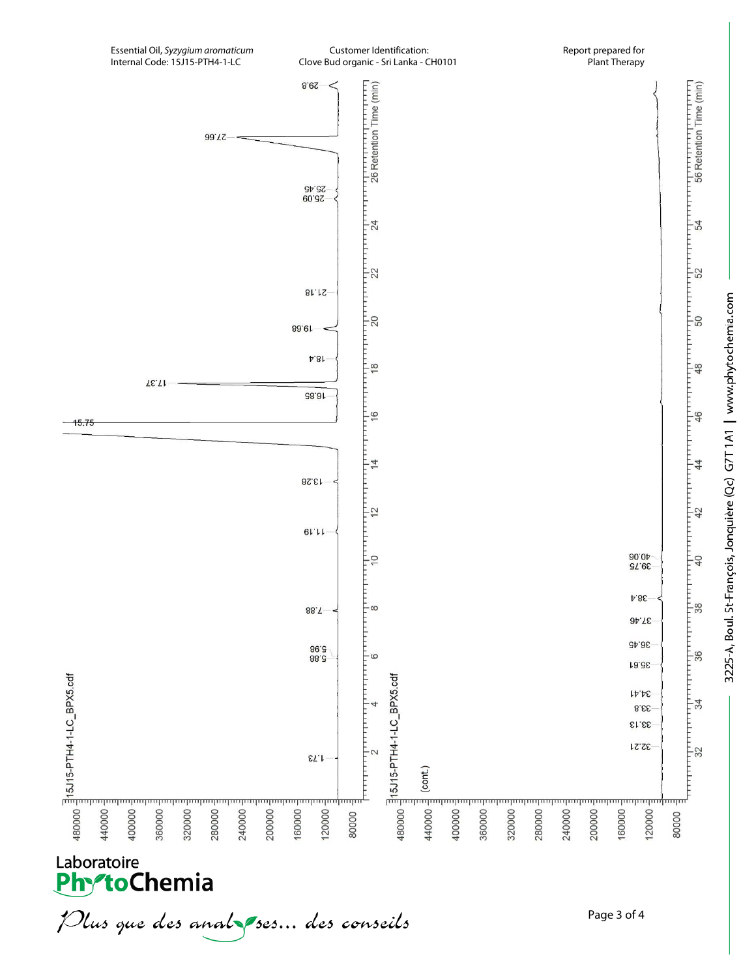

3225-A, Boul. St-François, Jonquière (Qc) G7T1A1 | www.phytochemia.com